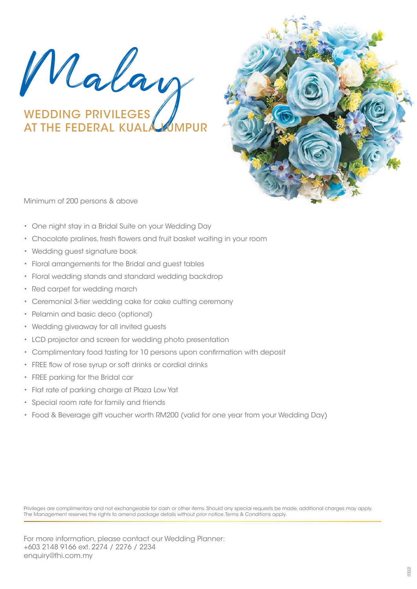Malay

## WEDDING PRIVILEGES AT THE FEDERAL KUALA UMPUR



Minimum of 200 persons & above

- One night stay in a Bridal Suite on your Wedding Day
- Chocolate pralines, fresh flowers and fruit basket waiting in your room
- Wedding guest signature book
- Floral arrangements for the Bridal and guest tables
- Floral wedding stands and standard wedding backdrop
- Red carpet for wedding march
- Ceremonial 3-tier wedding cake for cake cutting ceremony
- Pelamin and basic deco (optional)
- Wedding giveaway for all invited guests
- LCD projector and screen for wedding photo presentation
- Complimentary food tasting for 10 persons upon confirmation with deposit
- FREE flow of rose syrup or soft drinks or cordial drinks
- FREE parking for the Bridal car
- Flat rate of parking charge at Plaza Low Yat
- Special room rate for family and friends
- Food & Beverage gift voucher worth RM200 (valid for one year from your Wedding Day)

Privileges are complimentary and not exchangeable for cash or other items. Should any special requests be made, additional charges may apply. The Management reserves the rights to amend package details without prior notice. Terms & Conditions apply.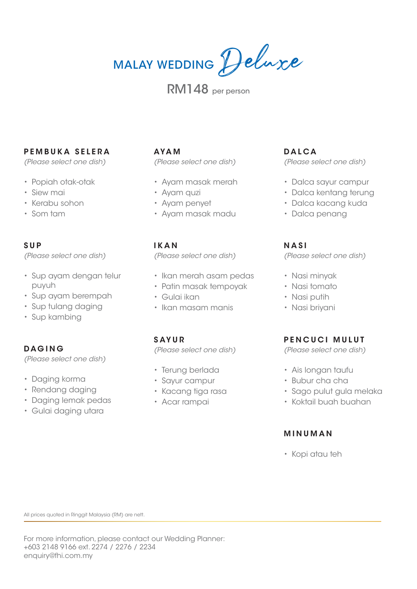# MALAY WEDDING Deluxe

## RM148 per person

## **PEMBUKA SELERA**

*(Please select one dish)*

- Popiah otak-otak
- Siew mai
- Kerabu sohon
- Som tam

## **SUP**

*(Please select one dish)*

- Sup ayam dengan telur puyuh
- Sup ayam berempah
- Sup tulang daging
- Sup kambing

## **DAGING**

*(Please select one dish)*

- Daging korma
- Rendang daging
- Daging lemak pedas
- Gulai daging utara

## **AYAM**

*(Please select one dish)*

- Ayam masak merah
- Ayam quzi
- Ayam penyet
- Ayam masak madu

#### **IKAN**

*(Please select one dish)*

- Ikan merah asam pedas
- Patin masak tempoyak
- Gulai ikan
- Ikan masam manis

## **SAYUR**

*(Please select one dish)*

- Terung berlada
- Sayur campur
- Kacang tiga rasa
- Acar rampai

## **DALCA**

*(Please select one dish)*

- Dalca sayur campur
- Dalca kentang terung
- Dalca kacang kuda
- Dalca penang

## **NASI**

*(Please select one dish)*

- Nasi minyak
- Nasi tomato
- Nasi putih
- Nasi briyani

## **PENCUCI MULUT**

*(Please select one dish)*

- Ais longan taufu
- Bubur cha cha
- Sago pulut gula melaka
- Koktail buah buahan

## **MINUMAN**

• Kopi atau teh

All prices quoted in Ringgit Malaysia (RM) are nett.